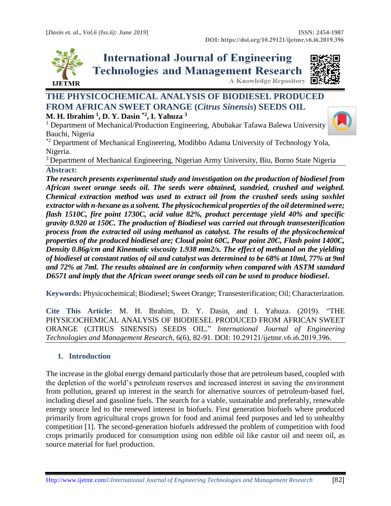**A Knowledge Repository** 



**International Journal of Engineering Technologies and Management Research** 



# **THE PHYSICOCHEMICAL ANALYSIS OF BIODIESEL PRODUCED FROM AFRICAN SWEET ORANGE (***Citrus Sinensis***) SEEDS OIL**

#### **M. H. Ibrahim <sup>1</sup> , D. Y. Dasin \*2 , I. Yahuza <sup>3</sup>**

 $<sup>1</sup>$  Department of Mechanical/Production Engineering, Abubakar Tafawa Balewa University</sup> Bauchi, Nigeria

\*2 Department of Mechanical Engineering, Modibbo Adama University of Technology Yola, Nigeria.

<sup>3</sup> Department of Mechanical Engineering, Nigerian Army University, Biu, Borno State Nigeria **Abstract:** 

*The research presents experimental study and investigation on the production of biodiesel from African sweet orange seeds oil. The seeds were obtained, sundried, crushed and weighed. Chemical extraction method was used to extract oil from the crushed seeds using soxhlet extractor with n-hexane as a solvent. The physicochemical properties of the oil determined were; flash 1510C, fire point 1730C, acid value 82%, product percentage yield 40% and specific gravity 0.920 at 150C. The production of Biodiesel was carried out through transesterification process from the extracted oil using methanol as catalyst. The results of the physicochemical properties of the produced biodiesel are; Cloud point 60C, Pour point 20C, Flash point 1400C, Density 0.86g/cm and Kinematic viscosity 1.938 mm2/s. The effect of methanol on the yielding of biodiesel at constant ratios of oil and catalyst was determined to be 68% at 10ml, 77% at 9ml and 72% at 7ml. The results obtained are in conformity when compared with ASTM standard D6571 and imply that the African sweet orange seeds oil can be used to produce biodiesel***.**

**Keywords:** Physicochemical; Biodiesel; Sweet Orange; Transesterification; Oil; Characterization*.* 

**Cite This Article:** M. H. Ibrahim, D. Y. Dasin, and I. Yahuza. (2019). "THE PHYSICOCHEMICAL ANALYSIS OF BIODIESEL PRODUCED FROM AFRICAN SWEET ORANGE (CITRUS SINENSIS) SEEDS OIL." *International Journal of Engineering Technologies and Management Research,* 6(6), 82-91. DOI: 10.29121/ijetmr.v6.i6.2019.396.

## **1. Introduction**

The increase in the global energy demand particularly those that are petroleum based, coupled with the depletion of the world's petroleum reserves and increased interest in saving the environment from pollution, geared up interest in the search for alternative sources of petroleum-based fuel, including diesel and gasoline fuels. The search for a viable, sustainable and preferably, renewable energy source led to the renewed interest in biofuels. First generation biofuels where produced primarily from agricultural crops grown for food and animal feed purposes and led to unhealthy competition [1]. The second-generation biofuels addressed the problem of competition with food crops primarily produced for consumption using non edible oil like castor oil and neem oil, as source material for fuel production.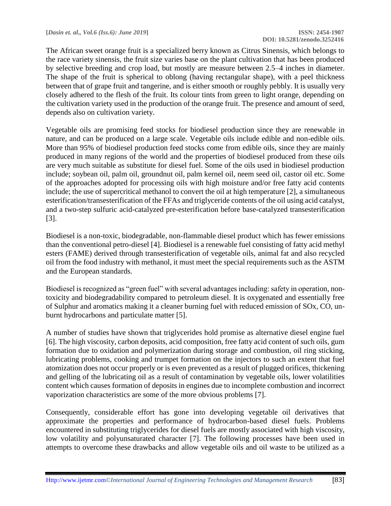The African sweet orange fruit is a specialized berry known as Citrus Sinensis, which belongs to the race variety sinensis, the fruit size varies base on the plant cultivation that has been produced by selective breeding and crop load, but mostly are measure between 2.5–4 inches in diameter. The shape of the fruit is spherical to oblong (having rectangular shape), with a peel thickness between that of grape fruit and tangerine, and is either smooth or roughly pebbly. It is usually very closely adhered to the flesh of the fruit. Its colour tints from green to light orange, depending on the cultivation variety used in the production of the orange fruit. The presence and amount of seed, depends also on cultivation variety.

Vegetable oils are promising feed stocks for biodiesel production since they are renewable in nature, and can be produced on a large scale. Vegetable oils include edible and non-edible oils. More than 95% of biodiesel production feed stocks come from edible oils, since they are mainly produced in many regions of the world and the properties of biodiesel produced from these oils are very much suitable as substitute for diesel fuel. Some of the oils used in biodiesel production include; soybean oil, palm oil, groundnut oil, palm kernel oil, neem seed oil, castor oil etc. Some of the approaches adopted for processing oils with high moisture and/or free fatty acid contents include; the use of supercritical methanol to convert the oil at high temperature [2], a simultaneous esterification/transesterification of the FFAs and triglyceride contents of the oil using acid catalyst, and a two-step sulfuric acid-catalyzed pre-esterification before base-catalyzed transesterification [3].

Biodiesel is a non-toxic, biodegradable, non-flammable diesel product which has fewer emissions than the conventional petro-diesel [4]. Biodiesel is a renewable fuel consisting of fatty acid methyl esters (FAME) derived through transesterification of vegetable oils, animal fat and also recycled oil from the food industry with methanol, it must meet the special requirements such as the ASTM and the European standards.

Biodiesel is recognized as "green fuel" with several advantages including: safety in operation, nontoxicity and biodegradability compared to petroleum diesel. It is oxygenated and essentially free of Sulphur and aromatics making it a cleaner burning fuel with reduced emission of SOx, CO, unburnt hydrocarbons and particulate matter [5].

A number of studies have shown that triglycerides hold promise as alternative diesel engine fuel [6]. The high viscosity, carbon deposits, acid composition, free fatty acid content of such oils, gum formation due to oxidation and polymerization during storage and combustion, oil ring sticking, lubricating problems, cooking and trumpet formation on the injectors to such an extent that fuel atomization does not occur properly or is even prevented as a result of plugged orifices, thickening and gelling of the lubricating oil as a result of contamination by vegetable oils, lower volatilities content which causes formation of deposits in engines due to incomplete combustion and incorrect vaporization characteristics are some of the more obvious problems [7].

Consequently, considerable effort has gone into developing vegetable oil derivatives that approximate the properties and performance of hydrocarbon-based diesel fuels. Problems encountered in substituting triglycerides for diesel fuels are mostly associated with high viscosity, low volatility and polyunsaturated character [7]. The following processes have been used in attempts to overcome these drawbacks and allow vegetable oils and oil waste to be utilized as a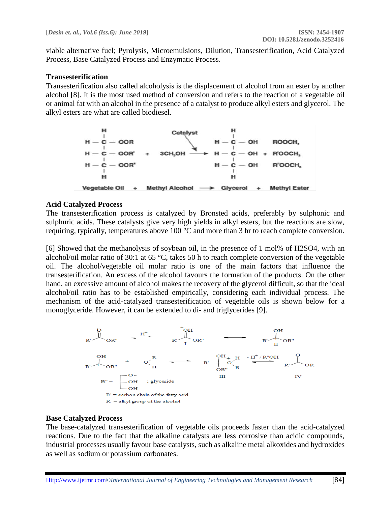viable alternative fuel; Pyrolysis, Microemulsions, Dilution, Transesterification, Acid Catalyzed Process, Base Catalyzed Process and Enzymatic Process.

#### **Transesterification**

Transesterification also called alcoholysis is the displacement of alcohol from an ester by another alcohol [8]. It is the most used method of conversion and refers to the reaction of a vegetable oil or animal fat with an alcohol in the presence of a catalyst to produce alkyl esters and glycerol. The alkyl esters are what are called biodiesel.



#### **Acid Catalyzed Process**

The transesterification process is catalyzed by Bronsted acids, preferably by sulphonic and sulphuric acids. These catalysts give very high yields in alkyl esters, but the reactions are slow, requiring, typically, temperatures above 100 °C and more than 3 hr to reach complete conversion.

[6] Showed that the methanolysis of soybean oil, in the presence of 1 mol% of H2SO4, with an alcohol/oil molar ratio of 30:1 at 65 °C, takes 50 h to reach complete conversion of the vegetable oil. The alcohol/vegetable oil molar ratio is one of the main factors that influence the transesterification. An excess of the alcohol favours the formation of the products. On the other hand, an excessive amount of alcohol makes the recovery of the glycerol difficult, so that the ideal alcohol/oil ratio has to be established empirically, considering each individual process. The mechanism of the acid-catalyzed transesterification of vegetable oils is shown below for a monoglyceride. However, it can be extended to di- and triglycerides [9].



### **Base Catalyzed Process**

The base-catalyzed transesterification of vegetable oils proceeds faster than the acid-catalyzed reactions. Due to the fact that the alkaline catalysts are less corrosive than acidic compounds, industrial processes usually favour base catalysts, such as alkaline metal alkoxides and hydroxides as well as sodium or potassium carbonates.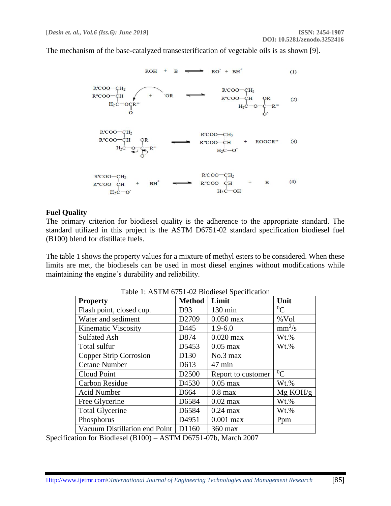The mechanism of the base-catalyzed transesterification of vegetable oils is as shown [9].



#### **Fuel Quality**

The primary criterion for biodiesel quality is the adherence to the appropriate standard. The standard utilized in this project is the ASTM D6751-02 standard specification biodiesel fuel (B100) blend for distillate fuels.

The table 1 shows the property values for a mixture of methyl esters to be considered. When these limits are met, the biodiesels can be used in most diesel engines without modifications while maintaining the engine's durability and reliability.

| <b>Property</b>               | <b>Method</b>     | Limit              | Unit      |  |  |  |  |
|-------------------------------|-------------------|--------------------|-----------|--|--|--|--|
| Flash point, closed cup.      | D93               | $130 \text{ min}$  | ${}^{0}C$ |  |  |  |  |
| Water and sediment            | D2709             | $0.050$ max        | %Vol      |  |  |  |  |
| <b>Kinematic Viscosity</b>    | D445              | $1.9 - 6.0$        | $mm^2/s$  |  |  |  |  |
| <b>Sulfated Ash</b>           | D874              | $0.020$ max        | Wt.%      |  |  |  |  |
| Total sulfur                  | D5453             | $0.05$ max         | Wt.%      |  |  |  |  |
| Copper Strip Corrosion        | D130              | No.3 max           |           |  |  |  |  |
| <b>Cetane Number</b>          | D613              | 47 min             |           |  |  |  |  |
| Cloud Point                   | D <sub>2500</sub> | Report to customer | ${}^{0}C$ |  |  |  |  |
| <b>Carbon Residue</b>         | D4530             | $0.05$ max         | Wt.%      |  |  |  |  |
| Acid Number                   | D664              | $0.8$ max          | Mg KOH/g  |  |  |  |  |
| Free Glycerine                | D6584             | $0.02$ max         | Wt.%      |  |  |  |  |
| <b>Total Glycerine</b>        | D6584             | $0.24$ max         | Wt.%      |  |  |  |  |
| Phosphorus                    | D4951             | $0.001$ max        | Ppm       |  |  |  |  |
| Vacuum Distillation end Point | D1160             | 360 max            |           |  |  |  |  |

Table 1: ASTM 6751-02 Biodiesel Specification

Specification for Biodiesel (B100) – ASTM D6751-07b, March 2007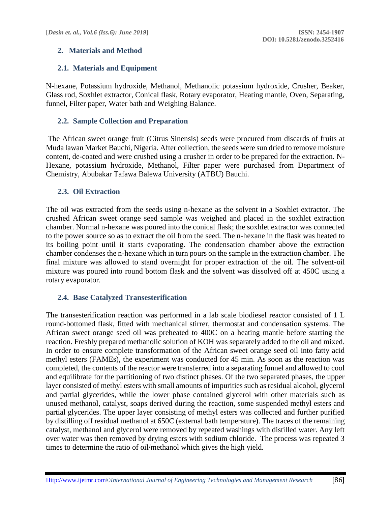## **2. Materials and Method**

# **2.1. Materials and Equipment**

N-hexane, Potassium hydroxide, Methanol, Methanolic potassium hydroxide, Crusher, Beaker, Glass rod, Soxhlet extractor, Conical flask, Rotary evaporator, Heating mantle, Oven, Separating, funnel, Filter paper, Water bath and Weighing Balance.

## **2.2. Sample Collection and Preparation**

The African sweet orange fruit (Citrus Sinensis) seeds were procured from discards of fruits at Muda lawan Market Bauchi, Nigeria. After collection, the seeds were sun dried to remove moisture content, de-coated and were crushed using a crusher in order to be prepared for the extraction. N-Hexane, potassium hydroxide, Methanol, Filter paper were purchased from Department of Chemistry, Abubakar Tafawa Balewa University (ATBU) Bauchi.

## **2.3. Oil Extraction**

The oil was extracted from the seeds using n-hexane as the solvent in a Soxhlet extractor. The crushed African sweet orange seed sample was weighed and placed in the soxhlet extraction chamber. Normal n-hexane was poured into the conical flask; the soxhlet extractor was connected to the power source so as to extract the oil from the seed. The n-hexane in the flask was heated to its boiling point until it starts evaporating. The condensation chamber above the extraction chamber condenses the n-hexane which in turn pours on the sample in the extraction chamber. The final mixture was allowed to stand overnight for proper extraction of the oil. The solvent-oil mixture was poured into round bottom flask and the solvent was dissolved off at 450C using a rotary evaporator.

## **2.4. Base Catalyzed Transesterification**

The transesterification reaction was performed in a lab scale biodiesel reactor consisted of 1 L round-bottomed flask, fitted with mechanical stirrer, thermostat and condensation systems. The African sweet orange seed oil was preheated to 400C on a heating mantle before starting the reaction. Freshly prepared methanolic solution of KOH was separately added to the oil and mixed. In order to ensure complete transformation of the African sweet orange seed oil into fatty acid methyl esters (FAMEs), the experiment was conducted for 45 min. As soon as the reaction was completed, the contents of the reactor were transferred into a separating funnel and allowed to cool and equilibrate for the partitioning of two distinct phases. Of the two separated phases, the upper layer consisted of methyl esters with small amounts of impurities such as residual alcohol, glycerol and partial glycerides, while the lower phase contained glycerol with other materials such as unused methanol, catalyst, soaps derived during the reaction, some suspended methyl esters and partial glycerides. The upper layer consisting of methyl esters was collected and further purified by distilling off residual methanol at 650C (external bath temperature). The traces of the remaining catalyst, methanol and glycerol were removed by repeated washings with distilled water. Any left over water was then removed by drying esters with sodium chloride. The process was repeated 3 times to determine the ratio of oil/methanol which gives the high yield.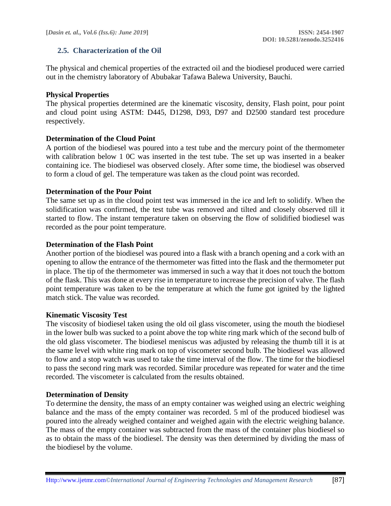## **2.5. Characterization of the Oil**

The physical and chemical properties of the extracted oil and the biodiesel produced were carried out in the chemistry laboratory of Abubakar Tafawa Balewa University, Bauchi.

#### **Physical Properties**

The physical properties determined are the kinematic viscosity, density, Flash point, pour point and cloud point using ASTM: D445, D1298, D93, D97 and D2500 standard test procedure respectively.

#### **Determination of the Cloud Point**

A portion of the biodiesel was poured into a test tube and the mercury point of the thermometer with calibration below 1 0C was inserted in the test tube. The set up was inserted in a beaker containing ice. The biodiesel was observed closely. After some time, the biodiesel was observed to form a cloud of gel. The temperature was taken as the cloud point was recorded.

#### **Determination of the Pour Point**

The same set up as in the cloud point test was immersed in the ice and left to solidify. When the solidification was confirmed, the test tube was removed and tilted and closely observed till it started to flow. The instant temperature taken on observing the flow of solidified biodiesel was recorded as the pour point temperature.

#### **Determination of the Flash Point**

Another portion of the biodiesel was poured into a flask with a branch opening and a cork with an opening to allow the entrance of the thermometer was fitted into the flask and the thermometer put in place. The tip of the thermometer was immersed in such a way that it does not touch the bottom of the flask. This was done at every rise in temperature to increase the precision of valve. The flash point temperature was taken to be the temperature at which the fume got ignited by the lighted match stick. The value was recorded.

#### **Kinematic Viscosity Test**

The viscosity of biodiesel taken using the old oil glass viscometer, using the mouth the biodiesel in the lower bulb was sucked to a point above the top white ring mark which of the second bulb of the old glass viscometer. The biodiesel meniscus was adjusted by releasing the thumb till it is at the same level with white ring mark on top of viscometer second bulb. The biodiesel was allowed to flow and a stop watch was used to take the time interval of the flow. The time for the biodiesel to pass the second ring mark was recorded. Similar procedure was repeated for water and the time recorded. The viscometer is calculated from the results obtained.

#### **Determination of Density**

To determine the density, the mass of an empty container was weighed using an electric weighing balance and the mass of the empty container was recorded. 5 ml of the produced biodiesel was poured into the already weighed container and weighed again with the electric weighing balance. The mass of the empty container was subtracted from the mass of the container plus biodiesel so as to obtain the mass of the biodiesel. The density was then determined by dividing the mass of the biodiesel by the volume.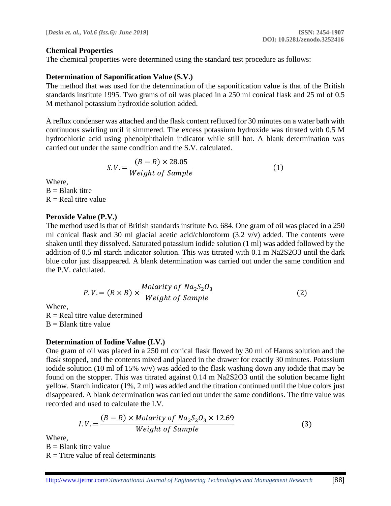#### **Chemical Properties**

The chemical properties were determined using the standard test procedure as follows:

#### **Determination of Saponification Value (S.V.)**

The method that was used for the determination of the saponification value is that of the British standards institute 1995. Two grams of oil was placed in a 250 ml conical flask and 25 ml of 0.5 M methanol potassium hydroxide solution added.

A reflux condenser was attached and the flask content refluxed for 30 minutes on a water bath with continuous swirling until it simmered. The excess potassium hydroxide was titrated with 0.5 M hydrochloric acid using phenolphthalein indicator while still hot. A blank determination was carried out under the same condition and the S.V. calculated.

$$
S.V. = \frac{(B - R) \times 28.05}{Weight \ of \ Sample} \tag{1}
$$

Where,

 $B = Blank$  titre  $R = Real$  titre value

#### **Peroxide Value (P.V.)**

The method used is that of British standards institute No. 684. One gram of oil was placed in a 250 ml conical flask and 30 ml glacial acetic acid/chloroform  $(3.2 \text{ v/v})$  added. The contents were shaken until they dissolved. Saturated potassium iodide solution (1 ml) was added followed by the addition of 0.5 ml starch indicator solution. This was titrated with 0.1 m Na2S2O3 until the dark blue color just disappeared. A blank determination was carried out under the same condition and the P.V. calculated.

$$
P.V. = (R \times B) \times \frac{Molarity \ of \ Na_2S_2O_3}{Weight \ of \ Sample}
$$
 (2)

Where,

 $R = Real$  titre value determined  $B =$ Blank titre value

#### **Determination of Iodine Value (I.V.)**

One gram of oil was placed in a 250 ml conical flask flowed by 30 ml of Hanus solution and the flask stopped, and the contents mixed and placed in the drawer for exactly 30 minutes. Potassium iodide solution (10 ml of 15% w/v) was added to the flask washing down any iodide that may be found on the stopper. This was titrated against 0.14 m Na2S2O3 until the solution became light yellow. Starch indicator (1%, 2 ml) was added and the titration continued until the blue colors just disappeared. A blank determination was carried out under the same conditions. The titre value was recorded and used to calculate the I.V.

$$
I.V. = \frac{(B - R) \times Molarity \ of \ Na_2S_2O_3 \times 12.69}{Weight \ of \ Sample}
$$
 (3)

Where,

 $B = Blank$  titre value

 $R =$  Titre value of real determinants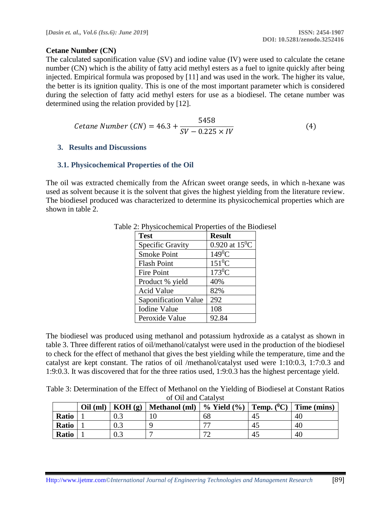#### **Cetane Number (CN)**

The calculated saponification value (SV) and iodine value (IV) were used to calculate the cetane number (CN) which is the ability of fatty acid methyl esters as a fuel to ignite quickly after being injected. Empirical formula was proposed by [11] and was used in the work. The higher its value, the better is its ignition quality. This is one of the most important parameter which is considered during the selection of fatty acid methyl esters for use as a biodiesel. The cetane number was determined using the relation provided by [12].

$$
Cetane Number (CN) = 46.3 + \frac{5458}{SV - 0.225 \times IV}
$$
 (4)

#### **3. Results and Discussions**

#### **3.1. Physicochemical Properties of the Oil**

The oil was extracted chemically from the African sweet orange seeds, in which n-hexane was used as solvent because it is the solvent that gives the highest yielding from the literature review. The biodiesel produced was characterized to determine its physicochemical properties which are shown in table 2.

| <b>Test</b>          | <b>Result</b>    |
|----------------------|------------------|
| Specific Gravity     | 0.920 at $15^0C$ |
| <b>Smoke Point</b>   | $149^0C$         |
| <b>Flash Point</b>   | $151^0$ C        |
| Fire Point           | $173^0C$         |
| Product % yield      | 40%              |
| <b>Acid Value</b>    | 82%              |
| Saponification Value | 292              |
| <b>Iodine Value</b>  | 108              |
| Peroxide Value       | 92.84            |

Table 2: Physicochemical Properties of the Biodiesel

The biodiesel was produced using methanol and potassium hydroxide as a catalyst as shown in table 3. Three different ratios of oil/methanol/catalyst were used in the production of the biodiesel to check for the effect of methanol that gives the best yielding while the temperature, time and the catalyst are kept constant. The ratios of oil /methanol/catalyst used were 1:10:0.3, 1:7:0.3 and 1:9:0.3. It was discovered that for the three ratios used, 1:9:0.3 has the highest percentage yield.

Table 3: Determination of the Effect of Methanol on the Yielding of Biodiesel at Constant Ratios of Oil and Catalyst

|              | $Oil$ (ml) | KOH(g) | Methanol (ml) | $\%$ Yield $(\%)$   Temp. $(^{0}C)$   Time (mins) |     |    |
|--------------|------------|--------|---------------|---------------------------------------------------|-----|----|
| Ratio        |            |        |               | 68                                                | -45 | 40 |
| Ratio        |            | 0.3    |               | 77                                                | -45 | 40 |
| <b>Ratio</b> |            | 0.3    |               | 70                                                | -45 | 40 |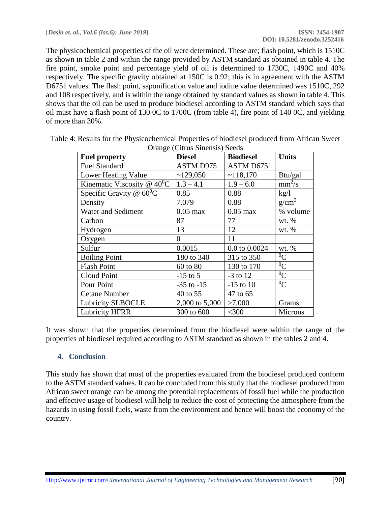The physicochemical properties of the oil were determined. These are; flash point, which is 1510C as shown in table 2 and within the range provided by ASTM standard as obtained in table 4. The fire point, smoke point and percentage yield of oil is determined to 1730C, 1490C and 40% respectively. The specific gravity obtained at 150C is 0.92; this is in agreement with the ASTM D6751 values. The flash point, saponification value and iodine value determined was 1510C, 292 and 108 respectively, and is within the range obtained by standard values as shown in table 4. This shows that the oil can be used to produce biodiesel according to ASTM standard which says that oil must have a flash point of 130 0C to 1700C (from table 4), fire point of 140 0C, and yielding of more than 30%.

| <b>Fuel property</b>          | <b>Diesel</b>    | <b>Biodiesel</b> | <b>Units</b>   |
|-------------------------------|------------------|------------------|----------------|
| <b>Fuel Standard</b>          | <b>ASTM D975</b> | ASTM D6751       |                |
| Lower Heating Value           | ~129,050         | ~118,170         | Btu/gal        |
| Kinematic Viscosity @ $40^0C$ | $1.3 - 4.1$      | $1.9 - 6.0$      | $mm^2/s$       |
| Specific Gravity @ $60^0C$    | 0.85             | 0.88             | kg/l           |
| Density                       | 7.079            | 0.88             | $g/cm^3$       |
| <b>Water and Sediment</b>     | $0.05$ max       | $0.05$ max       | % volume       |
| Carbon                        | 87               | 77               | wt. $%$        |
| Hydrogen                      | 13               | 12               | wt. %          |
| Oxygen                        | $\overline{0}$   | 11               |                |
| Sulfur                        | 0.0015           | 0.0 to 0.0024    | wt. $%$        |
| <b>Boiling Point</b>          | 180 to 340       | 315 to 350       | ${}^{0}C$      |
| <b>Flash Point</b>            | 60 to 80         | 130 to 170       | $\overline{C}$ |
| Cloud Point                   | $-15$ to 5       | $-3$ to 12       | $^{0}C$        |
| Pour Point                    | $-35$ to $-15$   | $-15$ to 10      | $^{0}C$        |
| <b>Cetane Number</b>          | 40 to 55         | 47 to 65         |                |
| <b>Lubricity SLBOCLE</b>      | 2,000 to 5,000   | >7,000           | Grams          |
| <b>Lubricity HFRR</b>         | 300 to 600       | $<$ 300          | <b>Microns</b> |

Table 4: Results for the Physicochemical Properties of biodiesel produced from African Sweet Orange (Citrus Sinensis) Seeds

It was shown that the properties determined from the biodiesel were within the range of the properties of biodiesel required according to ASTM standard as shown in the tables 2 and 4.

#### **4. Conclusion**

This study has shown that most of the properties evaluated from the biodiesel produced conform to the ASTM standard values. It can be concluded from this study that the biodiesel produced from African sweet orange can be among the potential replacements of fossil fuel while the production and effective usage of biodiesel will help to reduce the cost of protecting the atmosphere from the hazards in using fossil fuels, waste from the environment and hence will boost the economy of the country.